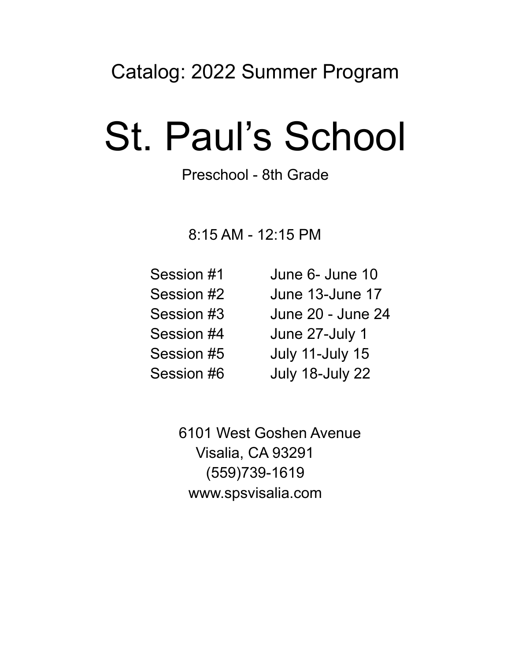# Catalog: 2022 Summer Program

# St. Paul's School

## Preschool - 8th Grade

8:15 AM - 12:15 PM

Session #1 June 6- June 10 Session #2 June 13-June 17 Session #3 June 20 - June 24 Session #4 June 27-July 1 Session #5 July 11-July 15 Session #6 July 18-July 22

> 6101 West Goshen Avenue Visalia, CA 93291 (559)739-1619 www.spsvisalia.com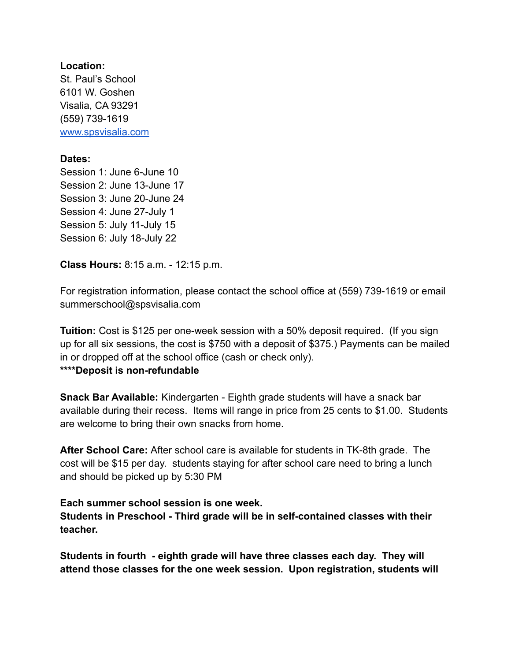#### **Location:**

St. Paul's School 6101 W. Goshen Visalia, CA 93291 (559) 739-1619 [www.spsvisalia.com](http://www.spsvisalia.com)

#### **Dates:**

Session 1: June 6-June 10 Session 2: June 13-June 17 Session 3: June 20-June 24 Session 4: June 27-July 1 Session 5: July 11-July 15 Session 6: July 18-July 22

**Class Hours:** 8:15 a.m. - 12:15 p.m.

For registration information, please contact the school office at (559) 739-1619 or email summerschool@spsvisalia.com

**Tuition:** Cost is \$125 per one-week session with a 50% deposit required. (If you sign up for all six sessions, the cost is \$750 with a deposit of \$375.) Payments can be mailed in or dropped off at the school office (cash or check only).

#### **\*\*\*\*Deposit is non-refundable**

**Snack Bar Available:** Kindergarten - Eighth grade students will have a snack bar available during their recess. Items will range in price from 25 cents to \$1.00. Students are welcome to bring their own snacks from home.

**After School Care:** After school care is available for students in TK-8th grade. The cost will be \$15 per day. students staying for after school care need to bring a lunch and should be picked up by 5:30 PM

**Each summer school session is one week. Students in Preschool - Third grade will be in self-contained classes with their teacher.**

**Students in fourth - eighth grade will have three classes each day. They will attend those classes for the one week session. Upon registration, students will**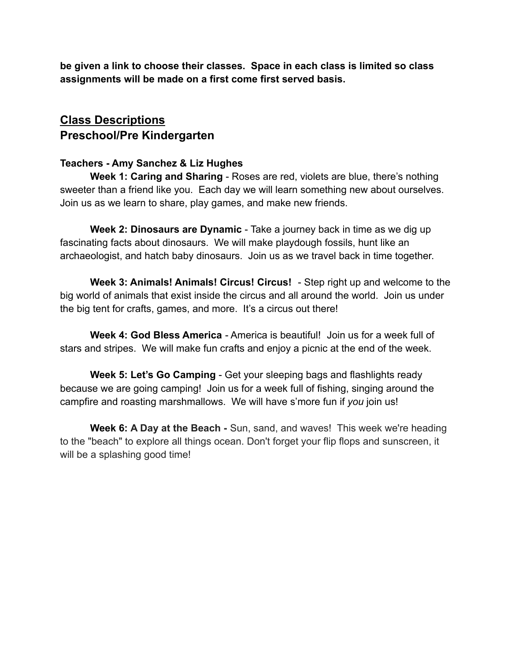**be given a link to choose their classes. Space in each class is limited so class assignments will be made on a first come first served basis.**

### **Class Descriptions Preschool/Pre Kindergarten**

#### **Teachers - Amy Sanchez & Liz Hughes**

**Week 1: Caring and Sharing** - Roses are red, violets are blue, there's nothing sweeter than a friend like you. Each day we will learn something new about ourselves. Join us as we learn to share, play games, and make new friends.

**Week 2: Dinosaurs are Dynamic** - Take a journey back in time as we dig up fascinating facts about dinosaurs. We will make playdough fossils, hunt like an archaeologist, and hatch baby dinosaurs. Join us as we travel back in time together.

**Week 3: Animals! Animals! Circus! Circus!** - Step right up and welcome to the big world of animals that exist inside the circus and all around the world. Join us under the big tent for crafts, games, and more. It's a circus out there!

**Week 4: God Bless America** - America is beautiful! Join us for a week full of stars and stripes. We will make fun crafts and enjoy a picnic at the end of the week.

**Week 5: Let's Go Camping** - Get your sleeping bags and flashlights ready because we are going camping! Join us for a week full of fishing, singing around the campfire and roasting marshmallows. We will have s'more fun if *you* join us!

**Week 6: A Day at the Beach -** Sun, sand, and waves! This week we're heading to the "beach" to explore all things ocean. Don't forget your flip flops and sunscreen, it will be a splashing good time!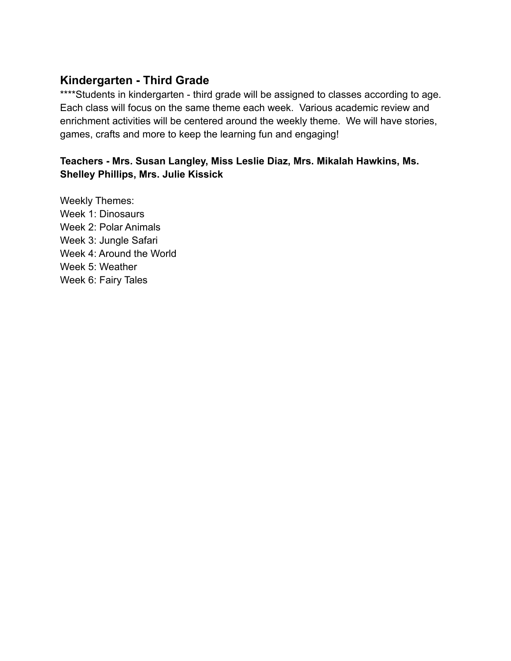#### **Kindergarten - Third Grade**

\*\*\*\*Students in kindergarten - third grade will be assigned to classes according to age. Each class will focus on the same theme each week. Various academic review and enrichment activities will be centered around the weekly theme. We will have stories, games, crafts and more to keep the learning fun and engaging!

#### **Teachers - Mrs. Susan Langley, Miss Leslie Diaz, Mrs. Mikalah Hawkins, Ms. Shelley Phillips, Mrs. Julie Kissick**

Weekly Themes: Week 1: Dinosaurs Week 2: Polar Animals Week 3: Jungle Safari Week 4: Around the World Week 5: Weather Week 6: Fairy Tales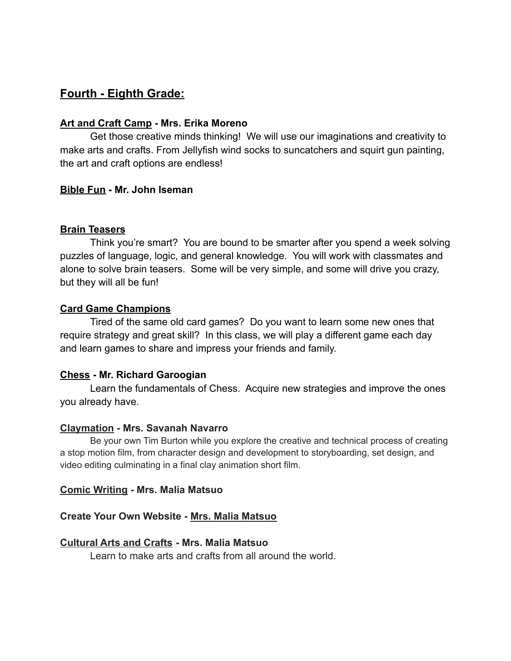#### **Fourth - Eighth Grade:**

#### **Art and Craft Camp - Mrs. Erika Moreno**

Get those creative minds thinking! We will use our imaginations and creativity to make arts and crafts. From Jellyfish wind socks to suncatchers and squirt gun painting, the art and craft options are endless!

#### **Bible Fun - Mr. John Iseman**

#### **Brain Teasers**

Think you're smart? You are bound to be smarter after you spend a week solving puzzles of language, logic, and general knowledge. You will work with classmates and alone to solve brain teasers. Some will be very simple, and some will drive you crazy, but they will all be fun!

#### **Card Game Champions**

Tired of the same old card games? Do you want to learn some new ones that require strategy and great skill? In this class, we will play a different game each day and learn games to share and impress your friends and family.

#### **Chess - Mr. Richard Garoogian**

Learn the fundamentals of Chess. Acquire new strategies and improve the ones you already have.

#### **Claymation - Mrs. Savanah Navarro**

Be your own Tim Burton while you explore the creative and technical process of creating a stop motion film, from character design and development to storyboarding, set design, and video editing culminating in a final clay animation short film.

#### **Comic Writing - Mrs. Malia Matsuo**

#### **Create Your Own Website - Mrs. Malia Matsuo**

#### **Cultural Arts and Crafts - Mrs. Malia Matsuo**

Learn to make arts and crafts from all around the world.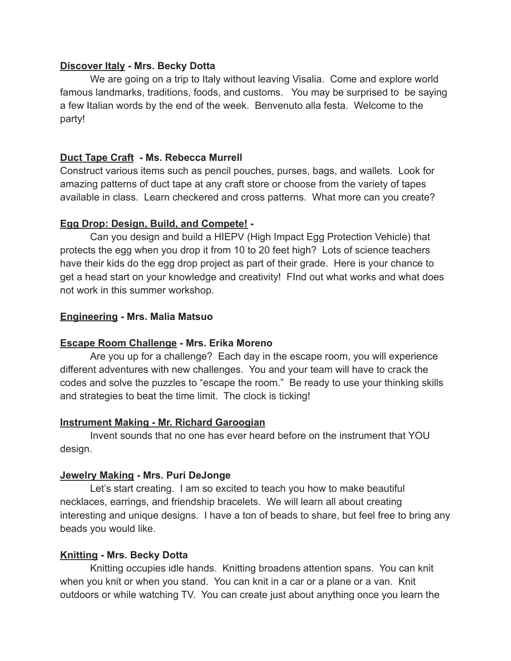#### **Discover Italy - Mrs. Becky Dotta**

We are going on a trip to Italy without leaving Visalia. Come and explore world famous landmarks, traditions, foods, and customs. You may be surprised to be saying a few Italian words by the end of the week. Benvenuto alla festa. Welcome to the party!

#### **Duct Tape Craft - Ms. Rebecca Murrell**

Construct various items such as pencil pouches, purses, bags, and wallets. Look for amazing patterns of duct tape at any craft store or choose from the variety of tapes available in class. Learn checkered and cross patterns. What more can you create?

#### **Egg Drop: Design, Build, and Compete! -**

Can you design and build a HIEPV (High Impact Egg Protection Vehicle) that protects the egg when you drop it from 10 to 20 feet high? Lots of science teachers have their kids do the egg drop project as part of their grade. Here is your chance to get a head start on your knowledge and creativity! FInd out what works and what does not work in this summer workshop.

#### **Engineering - Mrs. Malia Matsuo**

#### **Escape Room Challenge - Mrs. Erika Moreno**

Are you up for a challenge? Each day in the escape room, you will experience different adventures with new challenges. You and your team will have to crack the codes and solve the puzzles to "escape the room." Be ready to use your thinking skills and strategies to beat the time limit. The clock is ticking!

#### **Instrument Making - Mr. Richard Garoogian**

Invent sounds that no one has ever heard before on the instrument that YOU design.

#### **Jewelry Making - Mrs. Puri DeJonge**

Let's start creating. I am so excited to teach you how to make beautiful necklaces, earrings, and friendship bracelets. We will learn all about creating interesting and unique designs. I have a ton of beads to share, but feel free to bring any beads you would like.

#### **Knitting - Mrs. Becky Dotta**

Knitting occupies idle hands. Knitting broadens attention spans. You can knit when you knit or when you stand. You can knit in a car or a plane or a van. Knit outdoors or while watching TV. You can create just about anything once you learn the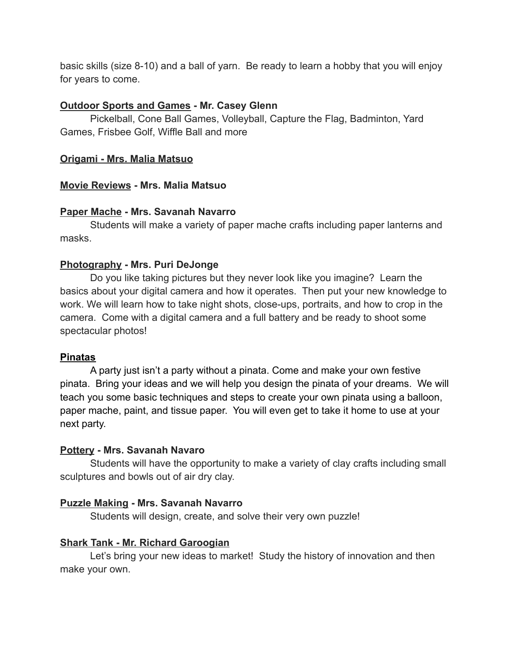basic skills (size 8-10) and a ball of yarn. Be ready to learn a hobby that you will enjoy for years to come.

#### **Outdoor Sports and Games - Mr. Casey Glenn**

Pickelball, Cone Ball Games, Volleyball, Capture the Flag, Badminton, Yard Games, Frisbee Golf, Wiffle Ball and more

#### **Origami - Mrs. Malia Matsuo**

#### **Movie Reviews - Mrs. Malia Matsuo**

#### **Paper Mache - Mrs. Savanah Navarro**

Students will make a variety of paper mache crafts including paper lanterns and masks.

#### **Photography - Mrs. Puri DeJonge**

Do you like taking pictures but they never look like you imagine? Learn the basics about your digital camera and how it operates. Then put your new knowledge to work. We will learn how to take night shots, close-ups, portraits, and how to crop in the camera. Come with a digital camera and a full battery and be ready to shoot some spectacular photos!

#### **Pinatas**

A party just isn't a party without a pinata. Come and make your own festive pinata. Bring your ideas and we will help you design the pinata of your dreams. We will teach you some basic techniques and steps to create your own pinata using a balloon, paper mache, paint, and tissue paper. You will even get to take it home to use at your next party.

#### **Pottery - Mrs. Savanah Navaro**

Students will have the opportunity to make a variety of clay crafts including small sculptures and bowls out of air dry clay.

#### **Puzzle Making - Mrs. Savanah Navarro**

Students will design, create, and solve their very own puzzle!

#### **Shark Tank - Mr. Richard Garoogian**

Let's bring your new ideas to market! Study the history of innovation and then make your own.